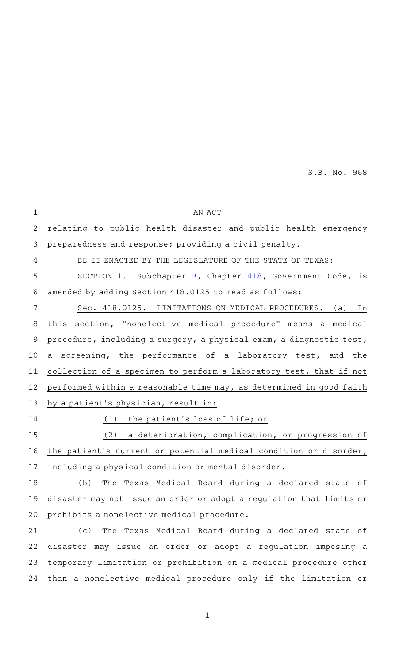| AN ACT                                                               |
|----------------------------------------------------------------------|
| relating to public health disaster and public health emergency       |
| preparedness and response; providing a civil penalty.                |
| BE IT ENACTED BY THE LEGISLATURE OF THE STATE OF TEXAS:              |
| SECTION 1. Subchapter B, Chapter 418, Government Code, is            |
| amended by adding Section 418.0125 to read as follows:               |
| Sec. 418.0125. LIMITATIONS ON MEDICAL PROCEDURES. (a)<br>In          |
| this section, "nonelective medical procedure" means a medical        |
| procedure, including a surgery, a physical exam, a diagnostic test,  |
| a screening, the performance of a laboratory test, and the           |
| collection of a specimen to perform a laboratory test, that if not   |
| performed within a reasonable time may, as determined in good faith  |
| by a patient's physician, result in:                                 |
| the patient's loss of life; or<br>(1)                                |
| (2)<br>a deterioration, complication, or progression of              |
| the patient's current or potential medical condition or disorder,    |
| including a physical condition or mental disorder.                   |
| The Texas Medical Board during a declared state of<br>(b)            |
| disaster may not issue an order or adopt a regulation that limits or |
| prohibits a nonelective medical procedure.                           |
| (c)<br>The Texas Medical Board during a declared state of            |
| disaster may issue an order or adopt a regulation imposing a         |
| temporary limitation or prohibition on a medical procedure other     |
| than a nonelective medical procedure only if the limitation or       |
|                                                                      |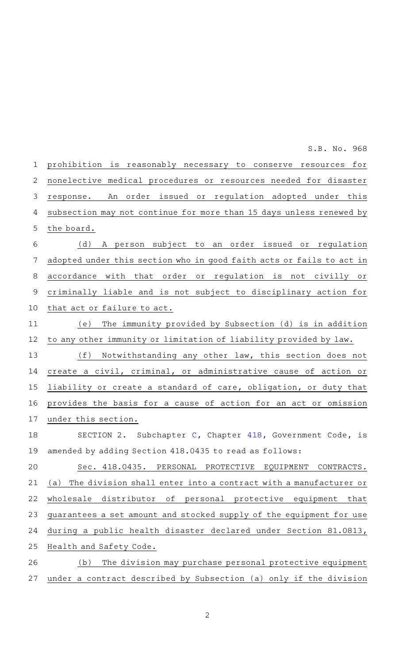prohibition is reasonably necessary to conserve resources for nonelective medical procedures or resources needed for disaster response. An order issued or regulation adopted under this subsection may not continue for more than 15 days unless renewed by the board. (d)AAA person subject to an order issued or regulation adopted under this section who in good faith acts or fails to act in accordance with that order or regulation is not civilly or criminally liable and is not subject to disciplinary action for that act or failure to act. (e) The immunity provided by Subsection (d) is in addition to any other immunity or limitation of liability provided by law.  $(f)$  Notwithstanding any other law, this section does not create a civil, criminal, or administrative cause of action or liability or create a standard of care, obligation, or duty that provides the basis for a cause of action for an act or omission under this section. SECTION 2. Subchapter  $C$ , Chapter [418](http://www.statutes.legis.state.tx.us/GetStatute.aspx?Code=GV&Value=418&Date=6/1/2021), Government Code, is amended by adding Section 418.0435 to read as follows: Sec. 418.0435. PERSONAL PROTECTIVE EQUIPMENT CONTRACTS. (a) The division shall enter into a contract with a manufacturer or wholesale distributor of personal protective equipment that guarantees a set amount and stocked supply of the equipment for use during a public health disaster declared under Section 81.0813, Health and Safety Code. (b) The division may purchase personal protective equipment under a contract described by Subsection (a) only if the division 1 2 3 4 5 6 7 8 9 10 11 12 13 14 15 16 17 18 19 20 21 22 23 24 25 26 27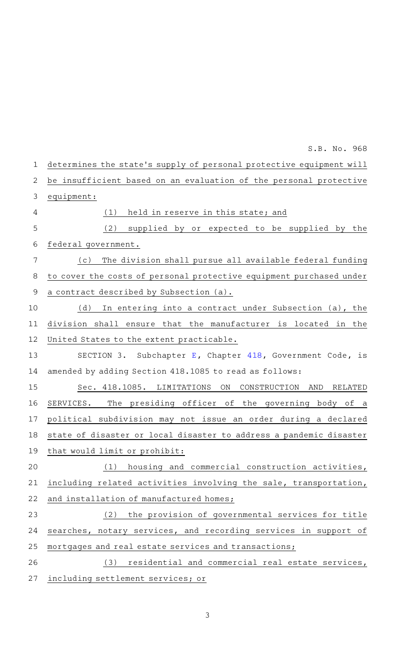| 1           | determines the state's supply of personal protective equipment will |
|-------------|---------------------------------------------------------------------|
| 2           | be insufficient based on an evaluation of the personal protective   |
| 3           | equipment:                                                          |
| 4           | held in reserve in this state; and<br>(1)                           |
| 5           | (2)<br>supplied by or expected to be supplied by the                |
| 6           | federal government.                                                 |
| 7           | The division shall pursue all available federal funding<br>(c)      |
| 8           | to cover the costs of personal protective equipment purchased under |
| $\mathsf 9$ | a contract described by Subsection (a).                             |
| 10          | (d)<br>In entering into a contract under Subsection (a), the        |
| 11          | division shall ensure that the manufacturer is located in the       |
| 12          | United States to the extent practicable.                            |
| 13          | SECTION 3. Subchapter E, Chapter 418, Government Code, is           |
| 14          | amended by adding Section 418.1085 to read as follows:              |
| 15          | Sec. 418.1085. LIMITATIONS<br>ON<br>CONSTRUCTION<br>AND<br>RELATED  |
| 16          | SERVICES. The presiding officer of the governing body of a          |
| 17          | political subdivision may not issue an order during a declared      |
| 18          | state of disaster or local disaster to address a pandemic disaster  |
|             | 19 that would limit or prohibit:                                    |
| 20          | housing and commercial construction activities,<br>(1)              |
| 21          | including related activities involving the sale, transportation,    |
| 22          | and installation of manufactured homes;                             |
| 23          | (2) the provision of governmental services for title                |
| 24          | searches, notary services, and recording services in support of     |
| 25          | mortgages and real estate services and transactions;                |
| 26          | residential and commercial real estate services,<br>(3)             |
| 27          | including settlement services; or                                   |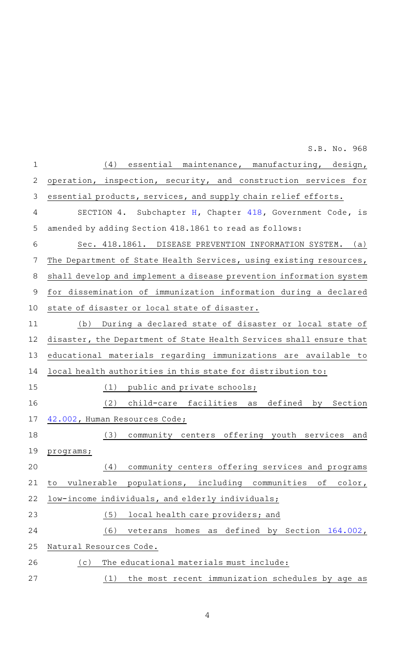| $\mathbf 1$    | essential maintenance, manufacturing, design,<br>(4)                      |
|----------------|---------------------------------------------------------------------------|
| $\overline{2}$ | operation, inspection, security, and construction services for            |
| 3              | essential products, services, and supply chain relief efforts.            |
| 4              | Subchapter H, Chapter 418, Government Code, is<br>SECTION 4.              |
| 5              | amended by adding Section 418.1861 to read as follows:                    |
| 6              | Sec. 418.1861. DISEASE PREVENTION INFORMATION SYSTEM.<br>(a)              |
| 7              | The Department of State Health Services, using existing resources,        |
| 8              | shall develop and implement a disease prevention information system       |
| $\mathcal{G}$  | for dissemination of immunization information during a declared           |
| 10             | state of disaster or local state of disaster.                             |
| 11             | During a declared state of disaster or local state of<br>(b)              |
| 12             | disaster, the Department of State Health Services shall ensure that       |
| 13             | educational materials regarding immunizations are available to            |
| 14             | local health authorities in this state for distribution to:               |
| 15             | (1)<br>public and private schools;                                        |
| 16             | (2)<br>child-care facilities<br>defined<br>by<br>Section<br>as            |
| 17             | 42.002, Human Resources Code;                                             |
| 18             | (3)<br>community centers offering youth services<br>and                   |
| 19             | programs;                                                                 |
| 20             | community centers offering services and programs<br>(4)                   |
| 21             | populations, including communities<br>vulnerable<br>оf<br>$color$ ,<br>to |
| 22             | low-income individuals, and elderly individuals;                          |
| 23             | (5)<br>local health care providers; and                                   |
| 24             | (6)<br>veterans homes as defined by Section 164.002,                      |
| 25             | Natural Resources Code.                                                   |
| 26             | (c)<br>The educational materials must include:                            |
| 27             | the most recent immunization schedules by age as<br>(1)                   |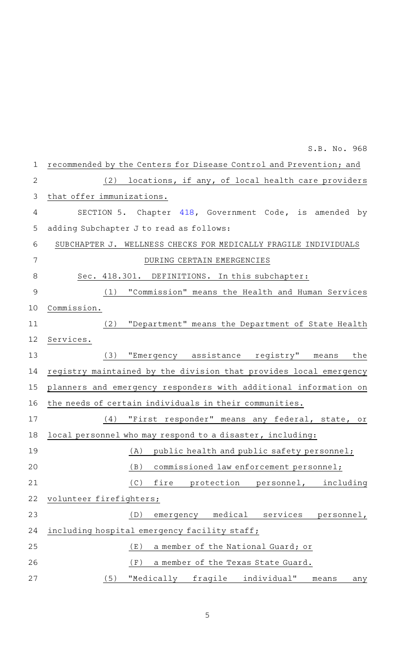|                | S.B. No. 968                                                       |
|----------------|--------------------------------------------------------------------|
| $\mathbf 1$    | recommended by the Centers for Disease Control and Prevention; and |
| $\overline{2}$ | (2)<br>locations, if any, of local health care providers           |
| 3              | that offer immunizations.                                          |
| 4              | SECTION 5. Chapter 418, Government Code, is amended by             |
| 5              | adding Subchapter J to read as follows:                            |
| 6              | SUBCHAPTER J. WELLNESS CHECKS FOR MEDICALLY FRAGILE INDIVIDUALS    |
| 7              | DURING CERTAIN EMERGENCIES                                         |
| 8              | Sec. 418.301. DEFINITIONS. In this subchapter:                     |
| 9              | (1) "Commission" means the Health and Human Services               |
| 10             | Commission.                                                        |
| 11             | (2) "Department" means the Department of State Health              |
| 12             | Services.                                                          |
| 13             | "Emergency assistance registry" means<br>(3)<br>the                |
| 14             | registry maintained by the division that provides local emergency  |
| 15             | planners and emergency responders with additional information on   |
| 16             | the needs of certain individuals in their communities.             |
| 17             | "First responder" means any federal, state, or<br>(4)              |
| 18             | local personnel who may respond to a disaster, including:          |
| 19             | public health and public safety personnel;<br>(A)                  |
| 20             | commissioned law enforcement personnel;<br>(B)                     |
| 21             | (C)<br>protection personnel, including<br>fire                     |
| 22             | volunteer firefighters;                                            |
| 23             | medical services<br>(D)<br>personnel,<br>emergency                 |
| 24             | including hospital emergency facility staff;                       |
| 25             | a member of the National Guard; or<br>(E)                          |
| 26             | (F)<br>a member of the Texas State Guard.                          |
| 27             | fragile<br>individual"<br>(5)<br>"Medically<br>means<br>any        |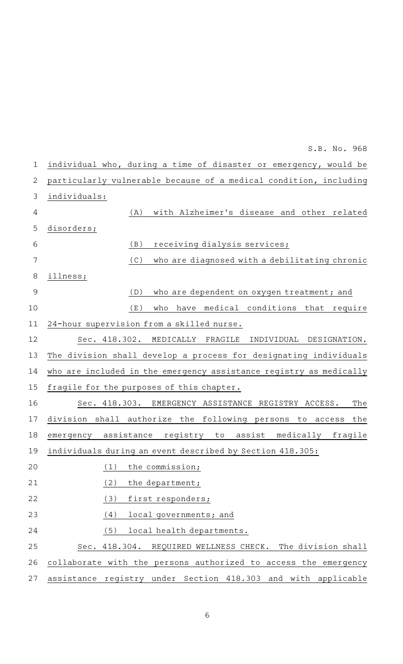| $\mathbf 1$    | individual who, during a time of disaster or emergency, would be   |
|----------------|--------------------------------------------------------------------|
| $\mathbf{2}$   | particularly vulnerable because of a medical condition, including  |
| 3              | individuals:                                                       |
| 4              | with Alzheimer's disease and other related<br>(A)                  |
| 5              | disorders;                                                         |
| 6              | (B)<br>receiving dialysis services;                                |
| 7              | who are diagnosed with a debilitating chronic<br>(C)               |
| 8              | illness;                                                           |
| $\overline{9}$ | who are dependent on oxygen treatment; and<br>(D)                  |
| 10             | (E)<br>who<br>have medical conditions that require                 |
| 11             | 24-hour supervision from a skilled nurse.                          |
| 12             | Sec. 418.302. MEDICALLY FRAGILE<br>INDIVIDUAL DESIGNATION.         |
| 13             | The division shall develop a process for designating individuals   |
| 14             | who are included in the emergency assistance registry as medically |
| 15             | fragile for the purposes of this chapter.                          |
| 16             | Sec. 418.303. EMERGENCY ASSISTANCE REGISTRY ACCESS.<br>The         |
| 17             | division shall authorize the following persons to access<br>the    |
| 18             | emergency assistance registry to assist medically fragile          |
| 19             | individuals during an event described by Section 418.305:          |
| 20             | the commission;<br>(1)                                             |
| 21             | (2)<br>the department;                                             |
| 22             | (3)<br>first responders;                                           |
| 23             | (4)<br>local governments; and                                      |
| 24             | (5)<br>local health departments.                                   |
| 25             | Sec. 418.304. REQUIRED WELLNESS CHECK. The division shall          |
| 26             | collaborate with the persons authorized to access the emergency    |
| 27             | assistance registry under Section 418.303 and with applicable      |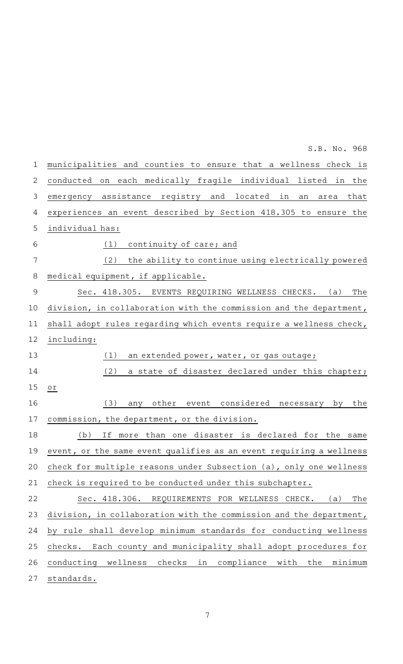municipalities and counties to ensure that a wellness check is conducted on each medically fragile individual listed in the emergency assistance registry and located in an area that experiences an event described by Section 418.305 to ensure the individual has:  $(1)$  continuity of care; and (2) the ability to continue using electrically powered medical equipment, if applicable. Sec. 418.305. EVENTS REQUIRING WELLNESS CHECKS. (a) The division, in collaboration with the commission and the department, shall adopt rules regarding which events require a wellness check, including:  $(1)$  an extended power, water, or gas outage; (2) a state of disaster declared under this chapter; or (3) any other event considered necessary by the commission, the department, or the division. (b) If more than one disaster is declared for the same event, or the same event qualifies as an event requiring a wellness check for multiple reasons under Subsection (a), only one wellness check is required to be conducted under this subchapter. Sec. 418.306. REQUIREMENTS FOR WELLNESS CHECK. (a) The division, in collaboration with the commission and the department, by rule shall develop minimum standards for conducting wellness checks. Each county and municipality shall adopt procedures for conducting wellness checks in compliance with the minimum standards. 1 2 3 4 5 6 7 8 9 10 11 12 13 14 15 16 17 18 19 20 21 22 23 24 25 26 27

S.B. No. 968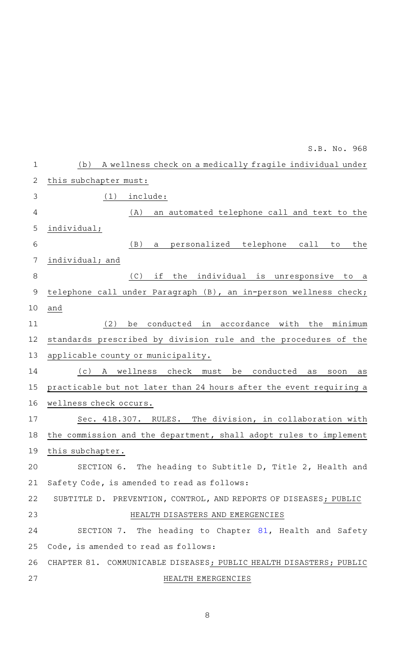|              | S.B. No. 968                                                              |
|--------------|---------------------------------------------------------------------------|
| $\mathbf 1$  | A wellness check on a medically fragile individual under<br>(b)           |
| $\mathbf{2}$ | this subchapter must:                                                     |
| 3            | (1)<br>include:                                                           |
| 4            | an automated telephone call and text to the<br>(A)                        |
| 5            | individual;                                                               |
| $\sqrt{6}$   | personalized telephone call<br>(B)<br>the<br>a<br>to                      |
| 7            | individual; and                                                           |
| $\,8\,$      | (C)<br>the individual is unresponsive<br>if<br>to a                       |
| $\mathsf 9$  | telephone call under Paragraph (B), an in-person wellness check;          |
| 10           | and                                                                       |
| 11           | (2)<br>conducted in accordance with the<br>minimum<br>be                  |
| 12           | standards prescribed by division rule and the procedures of the           |
| 13           | applicable county or municipality.                                        |
| 14           | A wellness<br>check<br>(c)<br>be<br>conducted<br>must<br>as<br>soon<br>as |
| 15           | practicable but not later than 24 hours after the event requiring a       |
| 16           | wellness check occurs.                                                    |
| 17           | The division, in collaboration with<br>Sec. 418.307.<br>RULES.            |
| 18           | the commission and the department, shall adopt rules to implement         |
| 19           | this subchapter.                                                          |
| 20           | SECTION 6. The heading to Subtitle D, Title 2, Health and                 |
| 21           | Safety Code, is amended to read as follows:                               |
| 22           | SUBTITLE D. PREVENTION, CONTROL, AND REPORTS OF DISEASES; PUBLIC          |
| 23           | HEALTH DISASTERS AND EMERGENCIES                                          |
| 24           | SECTION 7. The heading to Chapter 81, Health and Safety                   |
| 25           | Code, is amended to read as follows:                                      |
| 26           | CHAPTER 81. COMMUNICABLE DISEASES; PUBLIC HEALTH DISASTERS; PUBLIC        |
| 27           | HEALTH EMERGENCIES                                                        |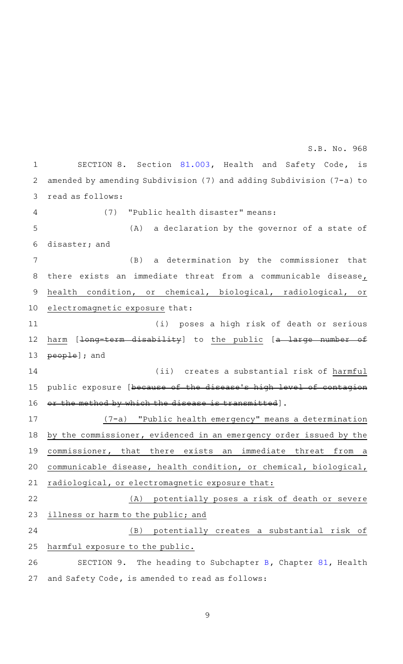SECTION 8. Section [81.003](http://www.statutes.legis.state.tx.us/GetStatute.aspx?Code=HS&Value=81.003&Date=6/1/2021), Health and Safety Code, is amended by amending Subdivision (7) and adding Subdivision (7-a) to read as follows: (7) "Public health disaster" means:  $(A)$  a declaration by the governor of a state of disaster; and (B) a determination by the commissioner that there exists an immediate threat from a communicable disease, health condition, or chemical, biological, radiological, or electromagnetic exposure that: (i) poses a high risk of death or serious harm [<del>long-term disability</del>] to the public [a large number of people]; and (ii) creates a substantial risk of harmful public exposure [because of the disease 's high level of contagion the method by which the disease is transmitted]. (7-a) "Public health emergency" means a determination by the commissioner, evidenced in an emergency order issued by the commissioner, that there exists an immediate threat from a communicable disease, health condition, or chemical, biological, radiological, or electromagnetic exposure that: (A) potentially poses a risk of death or severe illness or harm to the public; and (B) potentially creates a substantial risk of harmful exposure to the public. SECTION 9. The heading to Subchapter [B](http://www.statutes.legis.state.tx.us/GetStatute.aspx?Code=HS&Value=81.021&Date=6/1/2021), Chapter  $81$ , Health and Safety Code, is amended to read as follows: 1 2 3 4 5 6 7 8 9 10 11 12 13 14 15 16 17 18 19 20 21 22 23 24 25 26 27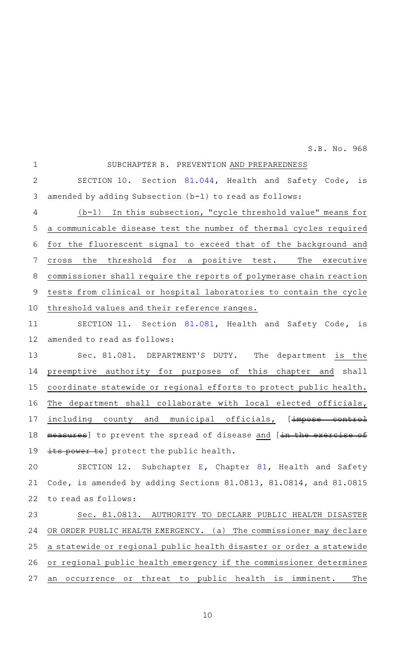SUBCHAPTER B. PREVENTION AND PREPAREDNESS SECTION 10. Section [81.044](http://www.statutes.legis.state.tx.us/GetStatute.aspx?Code=HS&Value=81.044&Date=6/1/2021), Health and Safety Code, is amended by adding Subsection (b-1) to read as follows:  $(b-1)$  In this subsection, "cycle threshold value" means for a communicable disease test the number of thermal cycles required for the fluorescent signal to exceed that of the background and cross the threshold for a positive test. The executive commissioner shall require the reports of polymerase chain reaction tests from clinical or hospital laboratories to contain the cycle threshold values and their reference ranges. SECTION 11. Section [81.081](http://www.statutes.legis.state.tx.us/GetStatute.aspx?Code=HS&Value=81.081&Date=6/1/2021), Health and Safety Code, is amended to read as follows: Sec. 81.081. DEPARTMENT'S DUTY. The department is the preemptive authority for purposes of this chapter and shall coordinate statewide or regional efforts to protect public health. The department shall collaborate with local elected officials, including county and municipal officials, [impose control measures] to prevent the spread of disease and [in the exercise its power to] protect the public health. S[E](http://www.statutes.legis.state.tx.us/GetStatute.aspx?Code=HS&Value=81.081&Date=6/1/2021)CTION 12. Subchapter E, Chapter [81,](http://www.statutes.legis.state.tx.us/GetStatute.aspx?Code=HS&Value=81&Date=6/1/2021) Health and Safety Code, is amended by adding Sections 81.0813, 81.0814, and 81.0815 to read as follows: Sec. 81.0813. AUTHORITY TO DECLARE PUBLIC HEALTH DISASTER OR ORDER PUBLIC HEALTH EMERGENCY. (a) The commissioner may declare a statewide or regional public health disaster or order a statewide or regional public health emergency if the commissioner determines an occurrence or threat to public health is imminent. The 1 2 3 4 5 6 7 8 9 10 11 12 13 14 15 16 17 18 19 20 21 22 23 24 25 26 27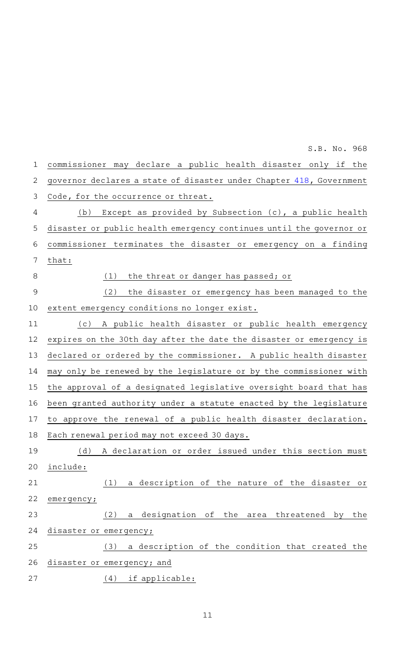commissioner may declare a public health disaster only if the governor declares a state of disaster under Chapter [418,](http://www.statutes.legis.state.tx.us/GetStatute.aspx?Code=GV&Value=418&Date=6/1/2021) Government Code, for the occurrence or threat. (b) Except as provided by Subsection  $(c)$ , a public health disaster or public health emergency continues until the governor or commissioner terminates the disaster or emergency on a finding that:  $(1)$  the threat or danger has passed; or (2) the disaster or emergency has been managed to the extent emergency conditions no longer exist. (c)AAA public health disaster or public health emergency expires on the 30th day after the date the disaster or emergency is declared or ordered by the commissioner. A public health disaster may only be renewed by the legislature or by the commissioner with the approval of a designated legislative oversight board that has been granted authority under a statute enacted by the legislature to approve the renewal of a public health disaster declaration. Each renewal period may not exceed 30 days. (d) A declaration or order issued under this section must include: (1) a description of the nature of the disaster or emergency; (2) a designation of the area threatened by the disaster or emergency; (3) a description of the condition that created the disaster or emergency; and  $(4)$  if applicable: 1 2 3 4 5 6 7 8 9 10 11 12 13 14 15 16 17 18 19 20 21 22 23 24 25 26 27 S.B. No. 968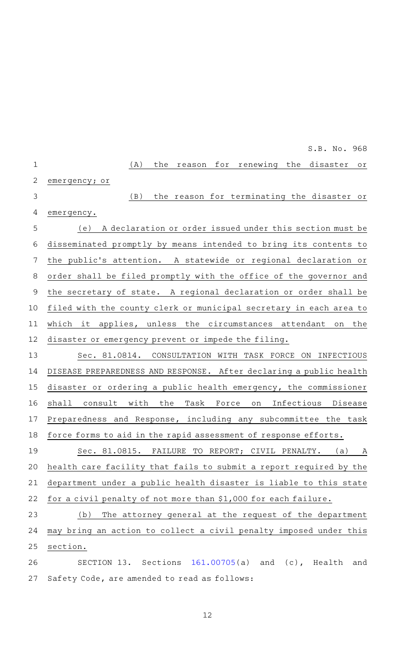(A) the reason for renewing the disaster or emergency; or (B) the reason for terminating the disaster or emergency. (e) A declaration or order issued under this section must be disseminated promptly by means intended to bring its contents to the public's attention. A statewide or regional declaration or order shall be filed promptly with the office of the governor and the secretary of state. A regional declaration or order shall be filed with the county clerk or municipal secretary in each area to which it applies, unless the circumstances attendant on the disaster or emergency prevent or impede the filing. Sec. 81.0814. CONSULTATION WITH TASK FORCE ON INFECTIOUS DISEASE PREPAREDNESS AND RESPONSE. After declaring a public health disaster or ordering a public health emergency, the commissioner shall consult with the Task Force on Infectious Disease Preparedness and Response, including any subcommittee the task force forms to aid in the rapid assessment of response efforts. Sec. 81.0815. FAILURE TO REPORT; CIVIL PENALTY. (a) A health care facility that fails to submit a report required by the department under a public health disaster is liable to this state for a civil penalty of not more than \$1,000 for each failure. 1 2 3 4 5 6 7 8 9 10 11 12 13 14 15 16 17 18 19 20 21 22

(b) The attorney general at the request of the department may bring an action to collect a civil penalty imposed under this section. 23 24 25

SECTION 13. Sections [161.00705\(](http://www.statutes.legis.state.tx.us/GetStatute.aspx?Code=HS&Value=161.00705&Date=6/1/2021)a) and (c), Health and Safety Code, are amended to read as follows: 26 27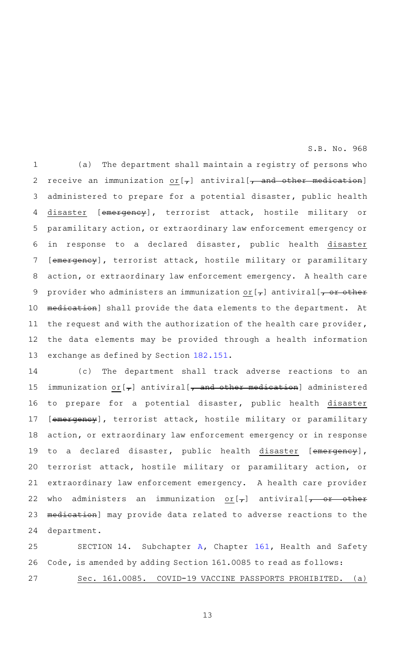(a) The department shall maintain a registry of persons who receive an immunization  $or [7]$  antiviral[ $or$  and other medication] administered to prepare for a potential disaster, public health disaster [emergency], terrorist attack, hostile military or paramilitary action, or extraordinary law enforcement emergency or in response to a declared disaster, public health disaster [emergency], terrorist attack, hostile military or paramilitary action, or extraordinary law enforcement emergency. A health care provider who administers an immunization or  $[\tau]$  antiviral  $[\tau]$  or other medication] shall provide the data elements to the department. At the request and with the authorization of the health care provider, the data elements may be provided through a health information exchange as defined by Section [182.151](http://www.statutes.legis.state.tx.us/GetStatute.aspx?Code=HS&Value=182.151&Date=6/1/2021). 1 2 3 4 5 6 7 8 9 10 11 12 13

(c) The department shall track adverse reactions to an immunization or  $\left[\right.-\right]$  antiviral  $\left[-\right.$  and other medication] administered to prepare for a potential disaster, public health disaster [emergency], terrorist attack, hostile military or paramilitary action, or extraordinary law enforcement emergency or in response to a declared disaster, public health disaster [emergency], terrorist attack, hostile military or paramilitary action, or extraordinary law enforcement emergency. A health care provider who administers an immunization  $or [7]$  antiviral[ $\rightarrow$  or other medication] may provide data related to adverse reactions to the department. 14 15 16 17 18 19 20 21 22 23 24

SECTION 14. Subchapter  $A$ , Chapter [161](http://www.statutes.legis.state.tx.us/GetStatute.aspx?Code=HS&Value=161&Date=6/1/2021), Health and Safety Code, is amended by adding Section 161.0085 to read as follows: Sec. 161.0085. COVID-19 VACCINE PASSPORTS PROHIBITED. (a) 25 26 27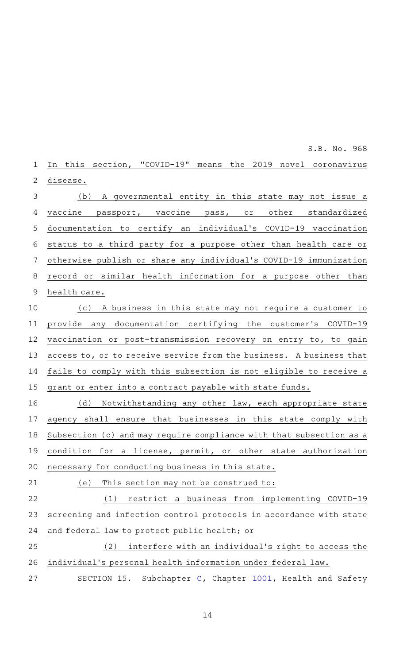In this section, "COVID-19" means the 2019 novel coronavirus disease. (b) A governmental entity in this state may not issue a vaccine passport, vaccine pass, or other standardized documentation to certify an individual 's COVID-19 vaccination status to a third party for a purpose other than health care or otherwise publish or share any individual 's COVID-19 immunization record or similar health information for a purpose other than health care. (c)AAA business in this state may not require a customer to provide any documentation certifying the customer 's COVID-19 vaccination or post-transmission recovery on entry to, to gain access to, or to receive service from the business. A business that fails to comply with this subsection is not eligible to receive a grant or enter into a contract payable with state funds. (d) Notwithstanding any other law, each appropriate state agency shall ensure that businesses in this state comply with Subsection (c) and may require compliance with that subsection as a condition for a license, permit, or other state authorization necessary for conducting business in this state. (e) This section may not be construed to:  $(1)$  restrict a business from implementing COVID-19 screening and infection control protocols in accordance with state and federal law to protect public health; or  $(2)$  interfere with an individual's right to access the individual 's personal health information under federal law. SECTION 15. Subchapter [C,](http://www.statutes.legis.state.tx.us/GetStatute.aspx?Code=HS&Value=1001.051&Date=6/1/2021) Chapter [1001](http://www.statutes.legis.state.tx.us/GetStatute.aspx?Code=HS&Value=1001&Date=6/1/2021), Health and Safety 1 2 3 4 5 6 7 8 9 10 11 12 13 14 15 16 17 18 19 20 21 22 23 24 25 26 27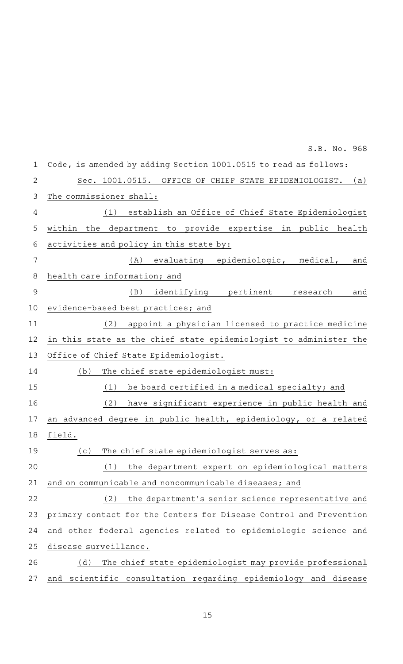| $\mathbf 1$    | Code, is amended by adding Section 1001.0515 to read as follows:   |
|----------------|--------------------------------------------------------------------|
| $\overline{2}$ | Sec. 1001.0515. OFFICE OF CHIEF STATE EPIDEMIOLOGIST.<br>(a)       |
| 3              | The commissioner shall:                                            |
| 4              | (1)<br>establish an Office of Chief State Epidemiologist           |
| 5              | the department to provide expertise in public health<br>within     |
| 6              | activities and policy in this state by:                            |
| 7              | evaluating epidemiologic, medical,<br>(A)<br>and                   |
| 8              | health care information; and                                       |
| $\mathcal{G}$  | (B)<br>identifying pertinent research<br>and                       |
| 10             | evidence-based best practices; and                                 |
| 11             | appoint a physician licensed to practice medicine<br>(2)           |
| 12             | in this state as the chief state epidemiologist to administer the  |
| 13             | Office of Chief State Epidemiologist.                              |
| 14             | The chief state epidemiologist must:<br>(b)                        |
| 15             | be board certified in a medical specialty; and<br>(1)              |
| 16             | (2)<br>have significant experience in public health and            |
| 17             | an advanced degree in public health, epidemiology, or a related    |
| 18             | field.                                                             |
| 19             | The chief state epidemiologist serves as:<br>(c)                   |
| 20             | the department expert on epidemiological matters<br>(1)            |
| 21             | and on communicable and noncommunicable diseases; and              |
| 22             | the department's senior science representative and<br>(2)          |
| 23             | primary contact for the Centers for Disease Control and Prevention |
| 24             | and other federal agencies related to epidemiologic science and    |
| 25             | disease surveillance.                                              |
| 26             | The chief state epidemiologist may provide professional<br>(d)     |
| 27             | scientific consultation regarding epidemiology and disease<br>and  |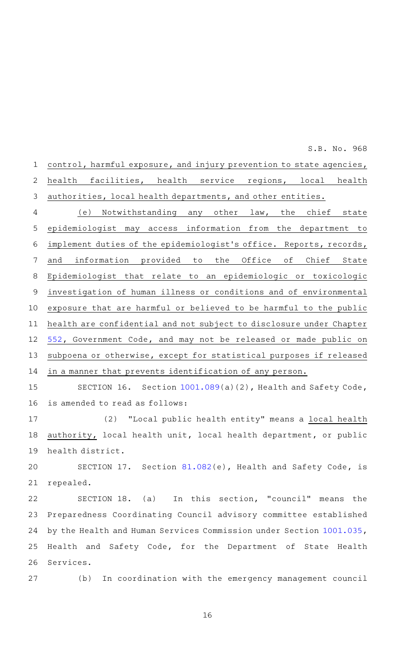control, harmful exposure, and injury prevention to state agencies, health facilities, health service regions, local health authorities, local health departments, and other entities. 1 2 3

(e) Notwithstanding any other law, the chief state epidemiologist may access information from the department to implement duties of the epidemiologist 's office. Reports, records, and information provided to the Office of Chief State Epidemiologist that relate to an epidemiologic or toxicologic investigation of human illness or conditions and of environmental exposure that are harmful or believed to be harmful to the public health are confidential and not subject to disclosure under Chapter [552,](http://www.statutes.legis.state.tx.us/GetStatute.aspx?Code=GV&Value=552&Date=6/1/2021) Government Code, and may not be released or made public on subpoena or otherwise, except for statistical purposes if released in a manner that prevents identification of any person. 4 5 6 7 8 9 10 11 12 13 14

SECTION 16. Section  $1001.089(a)(2)$  $1001.089(a)(2)$ , Health and Safety Code, is amended to read as follows: 15 16

(2) "Local public health entity" means a local health authority, local health unit, local health department, or public health district. 17 18 19

SECTION 17. Section [81.082\(](http://www.statutes.legis.state.tx.us/GetStatute.aspx?Code=HS&Value=81.082&Date=6/1/2021)e), Health and Safety Code, is repealed. 20 21

SECTION 18. (a) In this section, "council" means the Preparedness Coordinating Council advisory committee established by the Health and Human Services Commission under Section [1001.035](http://www.statutes.legis.state.tx.us/GetStatute.aspx?Code=HS&Value=1001.035&Date=6/1/2021), Health and Safety Code, for the Department of State Health Services. 22 23 24 25 26

(b) In coordination with the emergency management council 27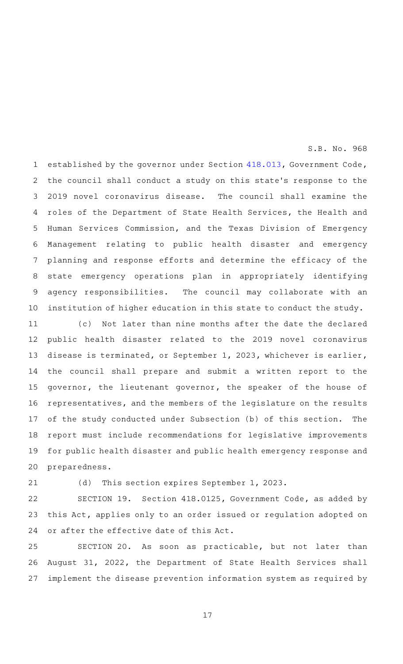established by the governor under Section [418.013](http://www.statutes.legis.state.tx.us/GetStatute.aspx?Code=GV&Value=418.013&Date=6/1/2021), Government Code, the council shall conduct a study on this state 's response to the 2019 novel coronavirus disease. The council shall examine the roles of the Department of State Health Services, the Health and Human Services Commission, and the Texas Division of Emergency Management relating to public health disaster and emergency planning and response efforts and determine the efficacy of the state emergency operations plan in appropriately identifying agency responsibilities. The council may collaborate with an institution of higher education in this state to conduct the study. 1 2 3 4 5 6 7 8 9 10

(c) Not later than nine months after the date the declared public health disaster related to the 2019 novel coronavirus disease is terminated, or September 1, 2023, whichever is earlier, the council shall prepare and submit a written report to the governor, the lieutenant governor, the speaker of the house of representatives, and the members of the legislature on the results of the study conducted under Subsection (b) of this section. The report must include recommendations for legislative improvements for public health disaster and public health emergency response and preparedness. 11 12 13 14 15 16 17 18 19 20

21

(d) This section expires September 1, 2023.

SECTION 19. Section 418.0125, Government Code, as added by this Act, applies only to an order issued or regulation adopted on or after the effective date of this Act. 22 23 24

SECTION 20. As soon as practicable, but not later than August 31, 2022, the Department of State Health Services shall implement the disease prevention information system as required by 25 26 27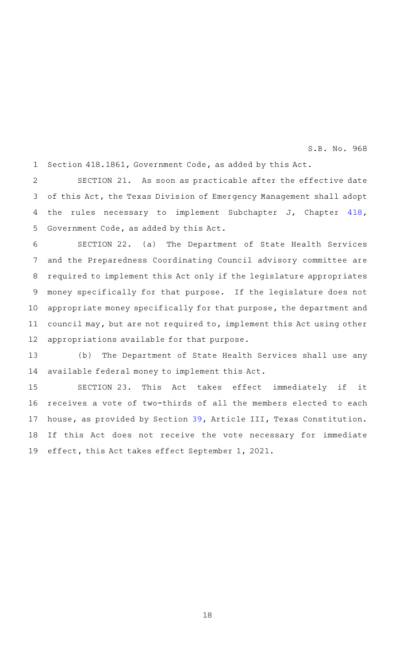Section 418.1861, Government Code, as added by this Act. 1

SECTION 21. As soon as practicable after the effective date of this Act, the Texas Division of Emergency Management shall adopt the rules necessary to implement Subchapter J, Chapter [418](http://www.statutes.legis.state.tx.us/GetStatute.aspx?Code=GV&Value=418&Date=6/1/2021), Government Code, as added by this Act. 2 3 4 5

SECTION 22. (a) The Department of State Health Services and the Preparedness Coordinating Council advisory committee are required to implement this Act only if the legislature appropriates money specifically for that purpose. If the legislature does not appropriate money specifically for that purpose, the department and council may, but are not required to, implement this Act using other appropriations available for that purpose. 6 7 8 9 10 11 12

(b) The Department of State Health Services shall use any available federal money to implement this Act. 13 14

SECTION 23. This Act takes effect immediately if it receives a vote of two-thirds of all the members elected to each house, as provided by Section [39,](http://www.statutes.legis.state.tx.us/GetStatute.aspx?Code=CN&Value=3.39&Date=6/1/2021) Article III, Texas Constitution. If this Act does not receive the vote necessary for immediate effect, this Act takes effect September 1, 2021. 15 16 17 18 19